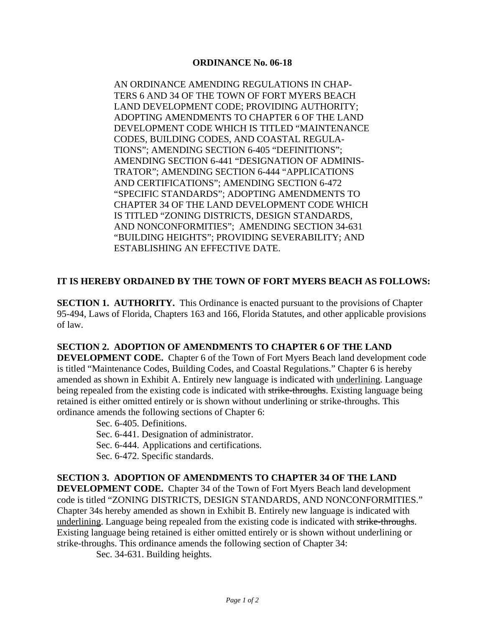### **ORDINANCE No. 06-18**

AN ORDINANCE AMENDING REGULATIONS IN CHAP-TERS 6 AND 34 OF THE TOWN OF FORT MYERS BEACH LAND DEVELOPMENT CODE; PROVIDING AUTHORITY; ADOPTING AMENDMENTS TO CHAPTER 6 OF THE LAND DEVELOPMENT CODE WHICH IS TITLED "MAINTENANCE CODES, BUILDING CODES, AND COASTAL REGULA-TIONS"; AMENDING SECTION 6-405 "DEFINITIONS"; AMENDING SECTION 6-441 "DESIGNATION OF ADMINIS-TRATOR"; AMENDING SECTION 6-444 "APPLICATIONS AND CERTIFICATIONS"; AMENDING SECTION 6-472 "SPECIFIC STANDARDS"; ADOPTING AMENDMENTS TO CHAPTER 34 OF THE LAND DEVELOPMENT CODE WHICH IS TITLED "ZONING DISTRICTS, DESIGN STANDARDS, AND NONCONFORMITIES"; AMENDING SECTION 34-631 "BUILDING HEIGHTS"; PROVIDING SEVERABILITY; AND ESTABLISHING AN EFFECTIVE DATE.

## **IT IS HEREBY ORDAINED BY THE TOWN OF FORT MYERS BEACH AS FOLLOWS:**

**SECTION 1. AUTHORITY.** This Ordinance is enacted pursuant to the provisions of Chapter 95-494, Laws of Florida, Chapters 163 and 166, Florida Statutes, and other applicable provisions of law.

### **SECTION 2. ADOPTION OF AMENDMENTS TO CHAPTER 6 OF THE LAND**

**DEVELOPMENT CODE.** Chapter 6 of the Town of Fort Myers Beach land development code is titled "Maintenance Codes, Building Codes, and Coastal Regulations." Chapter 6 is hereby amended as shown in Exhibit A. Entirely new language is indicated with underlining. Language being repealed from the existing code is indicated with strike-throughs. Existing language being retained is either omitted entirely or is shown without underlining or strike-throughs. This ordinance amends the following sections of Chapter 6:

Sec. 6-405. Definitions.

- Sec. 6-441. Designation of administrator.
- Sec. 6-444. Applications and certifications.
- Sec. 6-472. Specific standards.

#### **SECTION 3. ADOPTION OF AMENDMENTS TO CHAPTER 34 OF THE LAND**

**DEVELOPMENT CODE.** Chapter 34 of the Town of Fort Myers Beach land development code is titled "ZONING DISTRICTS, DESIGN STANDARDS, AND NONCONFORMITIES." Chapter 34s hereby amended as shown in Exhibit B. Entirely new language is indicated with underlining. Language being repealed from the existing code is indicated with strike-throughs. Existing language being retained is either omitted entirely or is shown without underlining or strike-throughs. This ordinance amends the following section of Chapter 34:

Sec. 34-631. Building heights.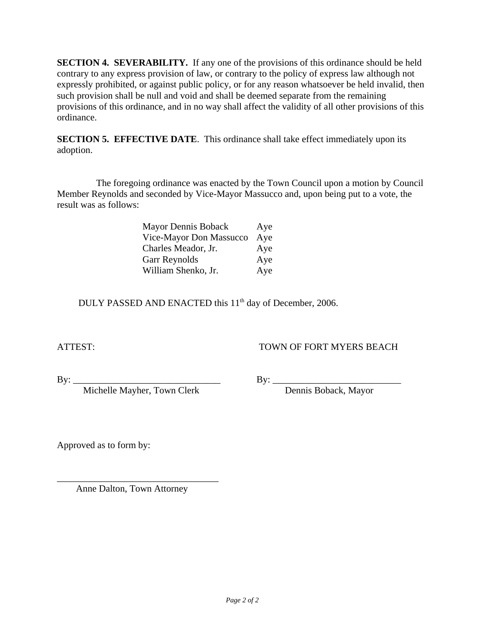**SECTION 4. SEVERABILITY.** If any one of the provisions of this ordinance should be held contrary to any express provision of law, or contrary to the policy of express law although not expressly prohibited, or against public policy, or for any reason whatsoever be held invalid, then such provision shall be null and void and shall be deemed separate from the remaining provisions of this ordinance, and in no way shall affect the validity of all other provisions of this ordinance.

**SECTION 5. EFFECTIVE DATE**. This ordinance shall take effect immediately upon its adoption.

The foregoing ordinance was enacted by the Town Council upon a motion by Council Member Reynolds and seconded by Vice-Mayor Massucco and, upon being put to a vote, the result was as follows:

| <b>Mayor Dennis Boback</b> | Aye |
|----------------------------|-----|
| Vice-Mayor Don Massucco    | Aye |
| Charles Meador, Jr.        | Aye |
| Garr Reynolds              | Aye |
| William Shenko, Jr.        | Aye |

DULY PASSED AND ENACTED this 11<sup>th</sup> day of December, 2006.

## ATTEST: TOWN OF FORT MYERS BEACH

Michelle Mayher, Town Clerk Dennis Boback, Mayor

By: \_\_\_\_\_\_\_\_\_\_\_\_\_\_\_\_\_\_\_\_\_\_\_\_\_\_\_\_\_\_\_ By: \_\_\_\_\_\_\_\_\_\_\_\_\_\_\_\_\_\_\_\_\_\_\_\_\_\_\_

Approved as to form by:

Anne Dalton, Town Attorney

\_\_\_\_\_\_\_\_\_\_\_\_\_\_\_\_\_\_\_\_\_\_\_\_\_\_\_\_\_\_\_\_\_\_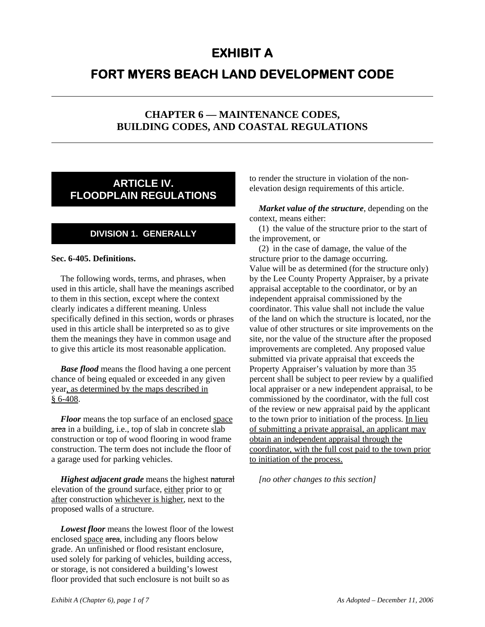## **EXHIBIT A**

## **FORT MYERS BEACH LAND DEVELOPMENT CODE**

## **CHAPTER 6 — MAINTENANCE CODES, BUILDING CODES, AND COASTAL REGULATIONS**

## **ARTICLE IV. FLOODPLAIN REGULATIONS**

## **DIVISION 1. GENERALLY**

#### **Sec. 6-405. Definitions.**

The following words, terms, and phrases, when used in this article, shall have the meanings ascribed to them in this section, except where the context clearly indicates a different meaning. Unless specifically defined in this section, words or phrases used in this article shall be interpreted so as to give them the meanings they have in common usage and to give this article its most reasonable application.

*Base flood* means the flood having a one percent chance of being equaled or exceeded in any given year, as determined by the maps described in § 6-408.

*Floor* means the top surface of an enclosed space area in a building, i.e., top of slab in concrete slab construction or top of wood flooring in wood frame construction. The term does not include the floor of a garage used for parking vehicles.

*Highest adjacent grade* means the highest natural elevation of the ground surface, either prior to or after construction whichever is higher, next to the proposed walls of a structure.

*Lowest floor* means the lowest floor of the lowest enclosed space area, including any floors below grade. An unfinished or flood resistant enclosure, used solely for parking of vehicles, building access, or storage, is not considered a building's lowest floor provided that such enclosure is not built so as

to render the structure in violation of the nonelevation design requirements of this article.

*Market value of the structure*, depending on the context, means either:

(1) the value of the structure prior to the start of the improvement, or

(2) in the case of damage, the value of the structure prior to the damage occurring. Value will be as determined (for the structure only) by the Lee County Property Appraiser, by a private appraisal acceptable to the coordinator, or by an independent appraisal commissioned by the coordinator. This value shall not include the value of the land on which the structure is located, nor the value of other structures or site improvements on the site, nor the value of the structure after the proposed improvements are completed. Any proposed value submitted via private appraisal that exceeds the Property Appraiser's valuation by more than 35 percent shall be subject to peer review by a qualified local appraiser or a new independent appraisal, to be commissioned by the coordinator, with the full cost of the review or new appraisal paid by the applicant to the town prior to initiation of the process. In lieu of submitting a private appraisal, an applicant may obtain an independent appraisal through the coordinator, with the full cost paid to the town prior to initiation of the process.

*[no other changes to this section]*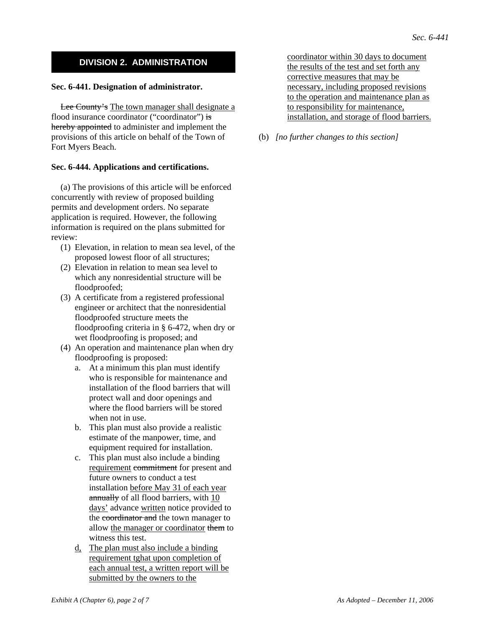## **DIVISION 2. ADMINISTRATION**

#### **Sec. 6-441. Designation of administrator.**

Lee County's The town manager shall designate a flood insurance coordinator ("coordinator") is hereby appointed to administer and implement the provisions of this article on behalf of the Town of Fort Myers Beach.

#### **Sec. 6-444. Applications and certifications.**

(a) The provisions of this article will be enforced concurrently with review of proposed building permits and development orders. No separate application is required. However, the following information is required on the plans submitted for review:

- (1) Elevation, in relation to mean sea level, of the proposed lowest floor of all structures;
- (2) Elevation in relation to mean sea level to which any nonresidential structure will be floodproofed;
- (3) A certificate from a registered professional engineer or architect that the nonresidential floodproofed structure meets the floodproofing criteria in § 6-472, when dry or wet floodproofing is proposed; and
- (4) An operation and maintenance plan when dry floodproofing is proposed:
	- a. At a minimum this plan must identify who is responsible for maintenance and installation of the flood barriers that will protect wall and door openings and where the flood barriers will be stored when not in use.
	- b. This plan must also provide a realistic estimate of the manpower, time, and equipment required for installation.
	- c. This plan must also include a binding requirement commitment for present and future owners to conduct a test installation before May 31 of each year annually of all flood barriers, with 10 days' advance written notice provided to the coordinator and the town manager to allow the manager or coordinator them to witness this test.
	- d, The plan must also include a binding requirement tghat upon completion of each annual test, a written report will be submitted by the owners to the

coordinator within 30 days to document the results of the test and set forth any corrective measures that may be necessary, including proposed revisions to the operation and maintenance plan as to responsibility for maintenance, installation, and storage of flood barriers.

(b) *[no further changes to this section]*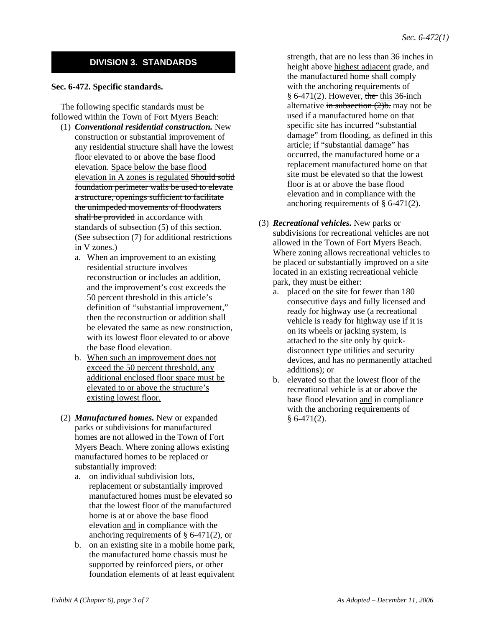## **DIVISION 3. STANDARDS**

#### **Sec. 6-472. Specific standards.**

The following specific standards must be followed within the Town of Fort Myers Beach:

- (1) *Conventional residential construction.* New construction or substantial improvement of any residential structure shall have the lowest floor elevated to or above the base flood elevation. Space below the base flood elevation in A zones is regulated Should solid foundation perimeter walls be used to elevate a structure, openings sufficient to facilitate the unimpeded movements of floodwaters shall be provided in accordance with standards of subsection (5) of this section. (See subsection (7) for additional restrictions in V zones.)
	- a. When an improvement to an existing residential structure involves reconstruction or includes an addition, and the improvement's cost exceeds the 50 percent threshold in this article's definition of "substantial improvement," then the reconstruction or addition shall be elevated the same as new construction, with its lowest floor elevated to or above the base flood elevation.
	- b. When such an improvement does not exceed the 50 percent threshold, any additional enclosed floor space must be elevated to or above the structure's existing lowest floor.
- (2) *Manufactured homes.* New or expanded parks or subdivisions for manufactured homes are not allowed in the Town of Fort Myers Beach. Where zoning allows existing manufactured homes to be replaced or substantially improved:
	- a. on individual subdivision lots, replacement or substantially improved manufactured homes must be elevated so that the lowest floor of the manufactured home is at or above the base flood elevation and in compliance with the anchoring requirements of § 6-471(2), or
	- b. on an existing site in a mobile home park, the manufactured home chassis must be supported by reinforced piers, or other foundation elements of at least equivalent

strength, that are no less than 36 inches in height above highest adjacent grade, and the manufactured home shall comply with the anchoring requirements of  $§ 6-471(2)$ . However, the this 36-inch alternative in subsection  $(2)b$ . may not be used if a manufactured home on that specific site has incurred "substantial damage" from flooding, as defined in this article; if "substantial damage" has occurred, the manufactured home or a replacement manufactured home on that site must be elevated so that the lowest floor is at or above the base flood elevation and in compliance with the anchoring requirements of § 6-471(2).

- (3) *Recreational vehicles.* New parks or subdivisions for recreational vehicles are not allowed in the Town of Fort Myers Beach. Where zoning allows recreational vehicles to be placed or substantially improved on a site located in an existing recreational vehicle park, they must be either:
	- a. placed on the site for fewer than 180 consecutive days and fully licensed and ready for highway use (a recreational vehicle is ready for highway use if it is on its wheels or jacking system, is attached to the site only by quickdisconnect type utilities and security devices, and has no permanently attached additions); or
	- b. elevated so that the lowest floor of the recreational vehicle is at or above the base flood elevation and in compliance with the anchoring requirements of  $§ 6-471(2).$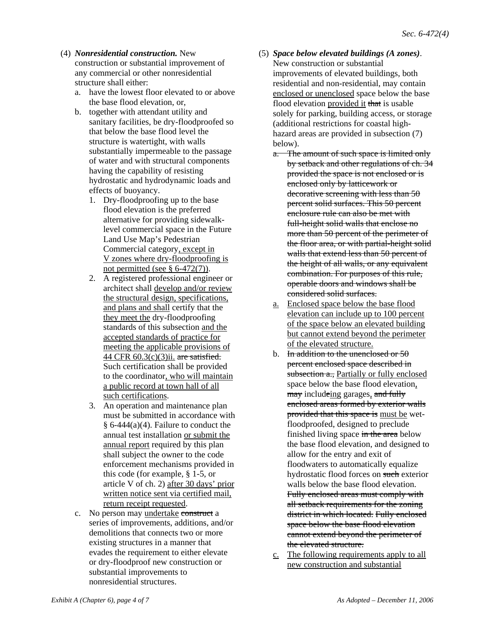- (4) *Nonresidential construction.* New construction or substantial improvement of any commercial or other nonresidential structure shall either:
	- a. have the lowest floor elevated to or above the base flood elevation, or,
	- b. together with attendant utility and sanitary facilities, be dry-floodproofed so that below the base flood level the structure is watertight, with walls substantially impermeable to the passage of water and with structural components having the capability of resisting hydrostatic and hydrodynamic loads and effects of buoyancy.
		- 1. Dry-floodproofing up to the base flood elevation is the preferred alternative for providing sidewalklevel commercial space in the Future Land Use Map's Pedestrian Commercial category, except in V zones where dry-floodproofing is not permitted (see  $\S 6-472(7)$ ).
		- 2. A registered professional engineer or architect shall develop and/or review the structural design, specifications, and plans and shall certify that the they meet the dry-floodproofing standards of this subsection and the accepted standards of practice for meeting the applicable provisions of 44 CFR  $60.3(c)(3)$ ii. are satisfied. Such certification shall be provided to the coordinator, who will maintain a public record at town hall of all such certifications.
		- 3. An operation and maintenance plan must be submitted in accordance with  $§ 6-444(a)(4)$ . Failure to conduct the annual test installation or submit the annual report required by this plan shall subject the owner to the code enforcement mechanisms provided in this code (for example, § 1-5, or article V of ch. 2) after 30 days' prior written notice sent via certified mail, return receipt requested.
	- c. No person may undertake construct a series of improvements, additions, and/or demolitions that connects two or more existing structures in a manner that evades the requirement to either elevate or dry-floodproof new construction or substantial improvements to nonresidential structures.
- (5) *Space below elevated buildings (A zones)*. New construction or substantial improvements of elevated buildings, both residential and non-residential, may contain enclosed or unenclosed space below the base flood elevation provided it that is usable solely for parking, building access, or storage (additional restrictions for coastal highhazard areas are provided in subsection (7) below).
	- a. The amount of such space is limited only by setback and other regulations of ch. 34 provided the space is not enclosed or is enclosed only by latticework or decorative screening with less than 50 percent solid surfaces. This 50 percent enclosure rule can also be met with full-height solid walls that enclose no more than 50 percent of the perimeter of the floor area, or with partial-height solid walls that extend less than 50 percent of the height of all walls, or any equivalent combination. For purposes of this rule, operable doors and windows shall be considered solid surfaces.
	- a. Enclosed space below the base flood elevation can include up to 100 percent of the space below an elevated building but cannot extend beyond the perimeter of the elevated structure.
	- b. In addition to the unenclosed or 50 percent enclosed space described in subsection a., Partially or fully enclosed space below the base flood elevation, may includeing garages, and fully enclosed areas formed by exterior walls provided that this space is must be wetfloodproofed, designed to preclude finished living space in the area below the base flood elevation, and designed to allow for the entry and exit of floodwaters to automatically equalize hydrostatic flood forces on such exterior walls below the base flood elevation. Fully enclosed areas must comply with all setback requirements for the zoning district in which located. Fully enclosed space below the base flood elevation cannot extend beyond the perimeter of the elevated structure.
	- c. The following requirements apply to all new construction and substantial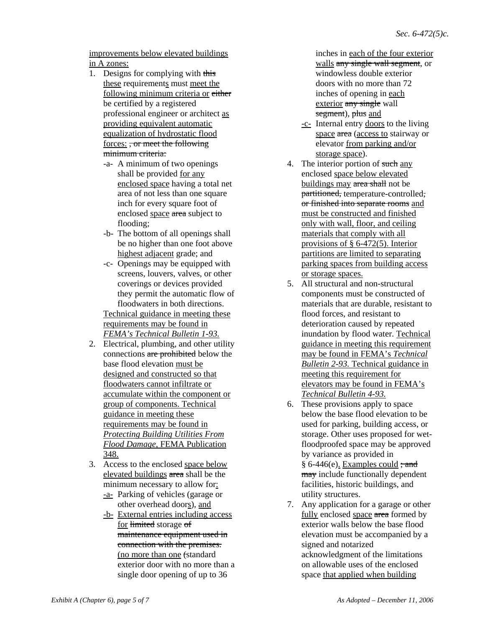improvements below elevated buildings in A zones:

- 1. Designs for complying with this these requirements must meet the following minimum criteria or either be certified by a registered professional engineer or architect as providing equivalent automatic equalization of hydrostatic flood forces: , or meet the following minimum criteria:
	- -a- A minimum of two openings shall be provided for any enclosed space having a total net area of not less than one square inch for every square foot of enclosed space area subject to flooding;
	- -b- The bottom of all openings shall be no higher than one foot above highest adjacent grade; and
	- -c- Openings may be equipped with screens, louvers, valves, or other coverings or devices provided they permit the automatic flow of floodwaters in both directions. Technical guidance in meeting these requirements may be found in *FEMA's Technical Bulletin 1-93.*
- 2. Electrical, plumbing, and other utility connections are prohibited below the base flood elevation must be designed and constructed so that floodwaters cannot infiltrate or accumulate within the component or group of components. Technical guidance in meeting these requirements may be found in *Protecting Building Utilities From Flood Damage*, FEMA Publication 348.
- 3. Access to the enclosed space below elevated buildings area shall be the minimum necessary to allow for:
	- -a- Parking of vehicles (garage or other overhead doors), and
	- -b- External entries including access for limited storage of maintenance equipment used in connection with the premises. (no more than one (standard exterior door with no more than a single door opening of up to 36

inches in each of the four exterior walls any single wall segment, or windowless double exterior doors with no more than 72 inches of opening in each exterior any single wall segment), plus and

- -c- Internal entry doors to the living space area (access to stairway or elevator from parking and/or storage space).
- 4. The interior portion of such any enclosed space below elevated buildings may area shall not be partitioned, temperature-controlled, or finished into separate rooms and must be constructed and finished only with wall, floor, and ceiling materials that comply with all provisions of § 6-472(5). Interior partitions are limited to separating parking spaces from building access or storage spaces.
- 5. All structural and non-structural components must be constructed of materials that are durable, resistant to flood forces, and resistant to deterioration caused by repeated inundation by flood water. Technical guidance in meeting this requirement may be found in FEMA's *Technical Bulletin 2-93.* Technical guidance in meeting this requirement for elevators may be found in FEMA's *Technical Bulletin 4-93.*
- 6. These provisions apply to space below the base flood elevation to be used for parking, building access, or storage. Other uses proposed for wetfloodproofed space may be approved by variance as provided in  $§ 6-446(e)$ . Examples could ; and may include functionally dependent facilities, historic buildings, and utility structures.
- 7. Any application for a garage or other fully enclosed space area formed by exterior walls below the base flood elevation must be accompanied by a signed and notarized acknowledgment of the limitations on allowable uses of the enclosed space that applied when building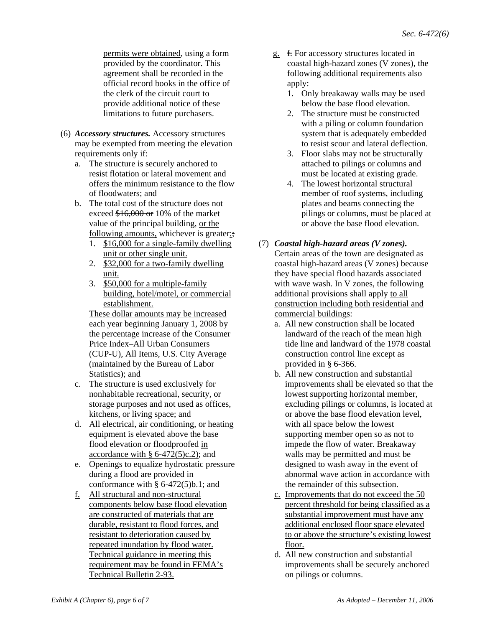permits were obtained, using a form provided by the coordinator. This agreement shall be recorded in the official record books in the office of the clerk of the circuit court to provide additional notice of these limitations to future purchasers.

- (6) *Accessory structures.* Accessory structures may be exempted from meeting the elevation requirements only if:
	- a. The structure is securely anchored to resist flotation or lateral movement and offers the minimum resistance to the flow of floodwaters; and
	- b. The total cost of the structure does not exceed \$16,000 or 10% of the market value of the principal building, or the following amounts, whichever is greater:
		- 1. \$16,000 for a single-family dwelling unit or other single unit.
		- 2. \$32,000 for a two-family dwelling unit.
		- 3. \$50,000 for a multiple-family building, hotel/motel, or commercial establishment.

These dollar amounts may be increased each year beginning January 1, 2008 by the percentage increase of the Consumer Price Index–All Urban Consumers (CUP-U), All Items, U.S. City Average (maintained by the Bureau of Labor Statistics); and

- c. The structure is used exclusively for nonhabitable recreational, security, or storage purposes and not used as offices, kitchens, or living space; and
- d. All electrical, air conditioning, or heating equipment is elevated above the base flood elevation or floodproofed in accordance with  $§$  6-472(5)c.2); and
- e. Openings to equalize hydrostatic pressure during a flood are provided in conformance with  $§$  6-472(5)b.1; and
- f. All structural and non-structural components below base flood elevation are constructed of materials that are durable, resistant to flood forces, and resistant to deterioration caused by repeated inundation by flood water. Technical guidance in meeting this requirement may be found in FEMA's Technical Bulletin 2-93.
- g. f. For accessory structures located in coastal high-hazard zones (V zones), the following additional requirements also apply:
	- 1. Only breakaway walls may be used below the base flood elevation.
	- 2. The structure must be constructed with a piling or column foundation system that is adequately embedded to resist scour and lateral deflection.
	- 3. Floor slabs may not be structurally attached to pilings or columns and must be located at existing grade.
	- 4. The lowest horizontal structural member of roof systems, including plates and beams connecting the pilings or columns, must be placed at or above the base flood elevation.

# (7) *Coastal high-hazard areas (V zones).*

Certain areas of the town are designated as coastal high-hazard areas (V zones) because they have special flood hazards associated with wave wash. In V zones, the following additional provisions shall apply to all construction including both residential and commercial buildings:

- a. All new construction shall be located landward of the reach of the mean high tide line and landward of the 1978 coastal construction control line except as provided in § 6-366.
- b. All new construction and substantial improvements shall be elevated so that the lowest supporting horizontal member, excluding pilings or columns, is located at or above the base flood elevation level, with all space below the lowest supporting member open so as not to impede the flow of water. Breakaway walls may be permitted and must be designed to wash away in the event of abnormal wave action in accordance with the remainder of this subsection.
- c. Improvements that do not exceed the 50 percent threshold for being classified as a substantial improvement must have any additional enclosed floor space elevated to or above the structure's existing lowest floor.
- d. All new construction and substantial improvements shall be securely anchored on pilings or columns.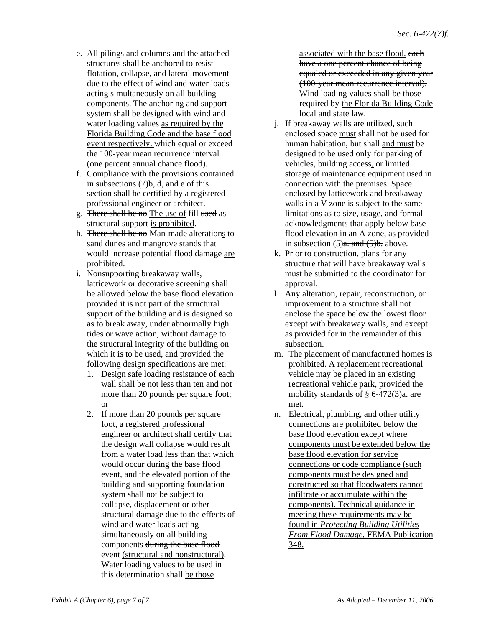- e. All pilings and columns and the attached structures shall be anchored to resist flotation, collapse, and lateral movement due to the effect of wind and water loads acting simultaneously on all building components. The anchoring and support system shall be designed with wind and water loading values as required by the Florida Building Code and the base flood event respectively. which equal or exceed the 100-year mean recurrence interval (one percent annual chance flood).
- f. Compliance with the provisions contained in subsections (7)b, d, and e of this section shall be certified by a registered professional engineer or architect.
- g. There shall be no The use of fill used as structural support is prohibited.
- h. There shall be no Man-made alterations to sand dunes and mangrove stands that would increase potential flood damage are prohibited.
- i. Nonsupporting breakaway walls, latticework or decorative screening shall be allowed below the base flood elevation provided it is not part of the structural support of the building and is designed so as to break away, under abnormally high tides or wave action, without damage to the structural integrity of the building on which it is to be used, and provided the following design specifications are met:
	- 1. Design safe loading resistance of each wall shall be not less than ten and not more than 20 pounds per square foot; or
	- 2. If more than 20 pounds per square foot, a registered professional engineer or architect shall certify that the design wall collapse would result from a water load less than that which would occur during the base flood event, and the elevated portion of the building and supporting foundation system shall not be subject to collapse, displacement or other structural damage due to the effects of wind and water loads acting simultaneously on all building components during the base flood event (structural and nonstructural). Water loading values to be used in this determination shall be those

associated with the base flood. each have a one percent chance of being equaled or exceeded in any given year (100-year mean recurrence interval). Wind loading values shall be those required by the Florida Building Code local and state law.

- j. If breakaway walls are utilized, such enclosed space must shall not be used for human habitation, but shall and must be designed to be used only for parking of vehicles, building access, or limited storage of maintenance equipment used in connection with the premises. Space enclosed by latticework and breakaway walls in a V zone is subject to the same limitations as to size, usage, and formal acknowledgments that apply below base flood elevation in an A zone, as provided in subsection  $(5)a$ . and  $(5)b$ . above.
- k. Prior to construction, plans for any structure that will have breakaway walls must be submitted to the coordinator for approval.
- l. Any alteration, repair, reconstruction, or improvement to a structure shall not enclose the space below the lowest floor except with breakaway walls, and except as provided for in the remainder of this subsection.
- m. The placement of manufactured homes is prohibited. A replacement recreational vehicle may be placed in an existing recreational vehicle park, provided the mobility standards of § 6-472(3)a. are met.
- n. Electrical, plumbing, and other utility connections are prohibited below the base flood elevation except where components must be extended below the base flood elevation for service connections or code compliance (such components must be designed and constructed so that floodwaters cannot infiltrate or accumulate within the components). Technical guidance in meeting these requirements may be found in *Protecting Building Utilities From Flood Damage*, FEMA Publication 348.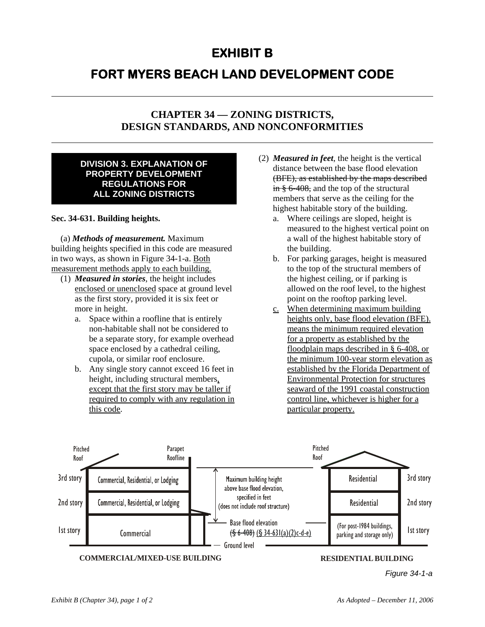# **EXHIBIT B**

# **FORT MYERS BEACH LAND DEVELOPMENT CODE**

## **CHAPTER 34 — ZONING DISTRICTS, DESIGN STANDARDS, AND NONCONFORMITIES**

#### **DIVISION 3. EXPLANATION OF PROPERTY DEVELOPMENT REGULATIONS FOR ALL ZONING DISTRICTS**

#### **Sec. 34-631. Building heights.**

(a) *Methods of measurement.* Maximum building heights specified in this code are measured in two ways, as shown in Figure 34-1-a. Both measurement methods apply to each building.

- (1) *Measured in stories*, the height includes enclosed or unenclosed space at ground level as the first story, provided it is six feet or more in height.
	- a. Space within a roofline that is entirely non-habitable shall not be considered to be a separate story, for example overhead space enclosed by a cathedral ceiling, cupola, or similar roof enclosure.
	- b. Any single story cannot exceed 16 feet in height, including structural members, except that the first story may be taller if required to comply with any regulation in this code.
- (2) *Measured in feet*, the height is the vertical distance between the base flood elevation (BFE), as established by the maps described  $\frac{\sin \frac{6}{3}6-408}{\sin \frac{6}{3}}$  and the top of the structural members that serve as the ceiling for the highest habitable story of the building.
	- a. Where ceilings are sloped, height is measured to the highest vertical point on a wall of the highest habitable story of the building.
	- b. For parking garages, height is measured to the top of the structural members of the highest ceiling, or if parking is allowed on the roof level, to the highest point on the rooftop parking level.
	- c. When determining maximum building heights only, base flood elevation (BFE). means the minimum required elevation for a property as established by the floodplain maps described in § 6-408, or the minimum 100-year storm elevation as established by the Florida Department of Environmental Protection for structures seaward of the 1991 coastal construction control line, whichever is higher for a particular property.



*Figure 34-1-a*